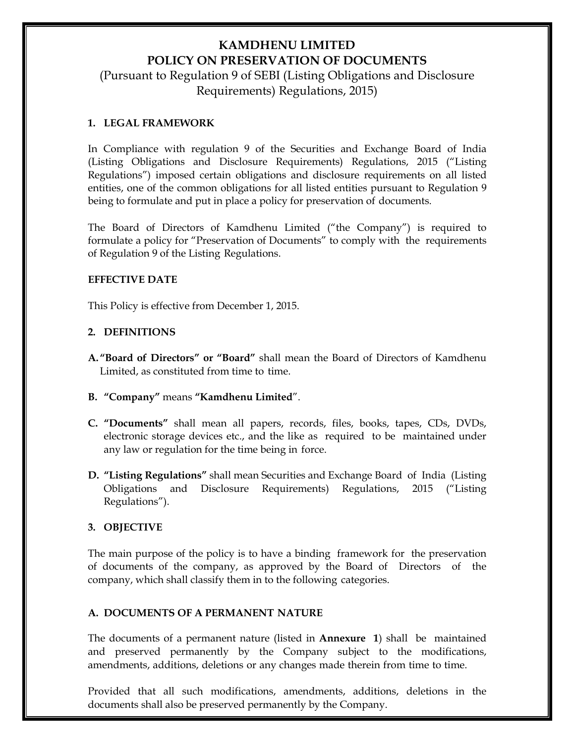## **KAMDHENU LIMITED POLICY ON PRESERVATION OF DOCUMENTS**

(Pursuant to Regulation 9 of SEBI (Listing Obligations and Disclosure Requirements) Regulations, 2015)

### **1. LEGAL FRAMEWORK**

In Compliance with regulation 9 of the Securities and Exchange Board of India (Listing Obligations and Disclosure Requirements) Regulations, 2015 ("Listing Regulations") imposed certain obligations and disclosure requirements on all listed entities, one of the common obligations for all listed entities pursuant to Regulation 9 being to formulate and put in place a policy for preservation of documents.

The Board of Directors of Kamdhenu Limited ("the Company") is required to formulate a policy for "Preservation of Documents" to comply with the requirements of Regulation 9 of the Listing Regulations.

#### **EFFECTIVE DATE**

This Policy is effective from December 1, 2015.

## **2. DEFINITIONS**

- **A."Board of Directors" or "Board"** shall mean the Board of Directors of Kamdhenu Limited, as constituted from time to time.
- **B. "Company"** means **"Kamdhenu Limited**".
- **C. "Documents"** shall mean all papers, records, files, books, tapes, CDs, DVDs, electronic storage devices etc., and the like as required to be maintained under any law or regulation for the time being in force.
- **D. "Listing Regulations"** shall mean Securities and Exchange Board of India (Listing Obligations and Disclosure Requirements) Regulations, 2015 ("Listing Regulations").

## **3. OBJECTIVE**

The main purpose of the policy is to have a binding framework for the preservation of documents of the company, as approved by the Board of Directors of the company, which shall classify them in to the following categories.

## **A. DOCUMENTS OF A PERMANENT NATURE**

The documents of a permanent nature (listed in **Annexure 1**) shall be maintained and preserved permanently by the Company subject to the modifications, amendments, additions, deletions or any changes made therein from time to time.

Provided that all such modifications, amendments, additions, deletions in the documents shall also be preserved permanently by the Company.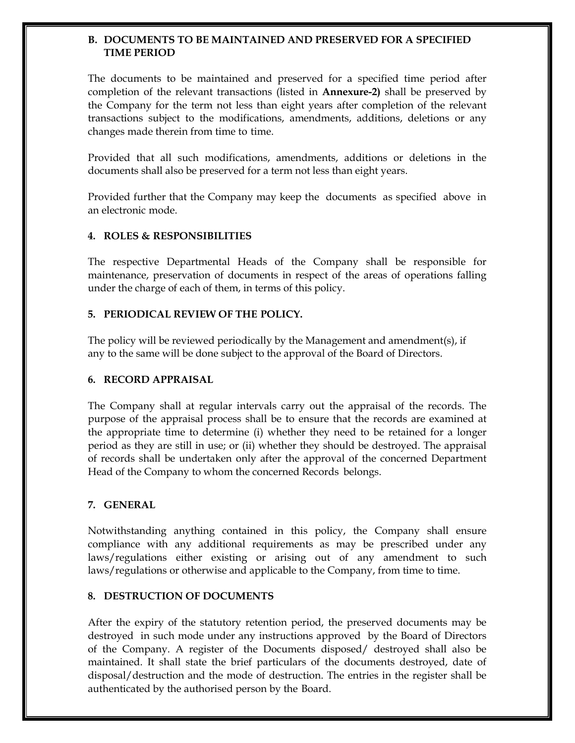### **B. DOCUMENTS TO BE MAINTAINED AND PRESERVED FOR A SPECIFIED TIME PERIOD**

The documents to be maintained and preserved for a specified time period after completion of the relevant transactions (listed in **Annexure-2)** shall be preserved by the Company for the term not less than eight years after completion of the relevant transactions subject to the modifications, amendments, additions, deletions or any changes made therein from time to time.

Provided that all such modifications, amendments, additions or deletions in the documents shall also be preserved for a term not less than eight years.

Provided further that the Company may keep the documents as specified above in an electronic mode.

## **4. ROLES & RESPONSIBILITIES**

The respective Departmental Heads of the Company shall be responsible for maintenance, preservation of documents in respect of the areas of operations falling under the charge of each of them, in terms of this policy.

## **5. PERIODICAL REVIEW OF THE POLICY.**

The policy will be reviewed periodically by the Management and amendment(s), if any to the same will be done subject to the approval of the Board of Directors.

## **6. RECORD APPRAISAL**

The Company shall at regular intervals carry out the appraisal of the records. The purpose of the appraisal process shall be to ensure that the records are examined at the appropriate time to determine (i) whether they need to be retained for a longer period as they are still in use; or (ii) whether they should be destroyed. The appraisal of records shall be undertaken only after the approval of the concerned Department Head of the Company to whom the concerned Records belongs.

## **7. GENERAL**

Notwithstanding anything contained in this policy, the Company shall ensure compliance with any additional requirements as may be prescribed under any laws/regulations either existing or arising out of any amendment to such laws/regulations or otherwise and applicable to the Company, from time to time.

## **8. DESTRUCTION OF DOCUMENTS**

After the expiry of the statutory retention period, the preserved documents may be destroyed in such mode under any instructions approved by the Board of Directors of the Company. A register of the Documents disposed/ destroyed shall also be maintained. It shall state the brief particulars of the documents destroyed, date of disposal/destruction and the mode of destruction. The entries in the register shall be authenticated by the authorised person by the Board.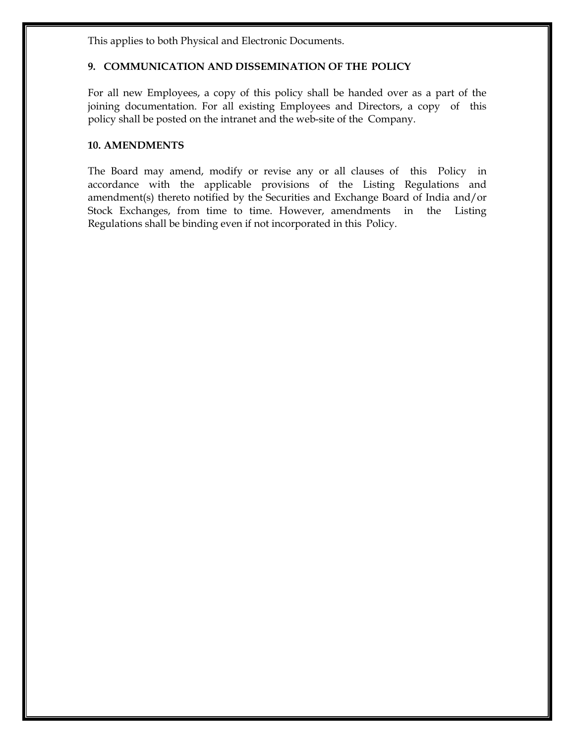This applies to both Physical and Electronic Documents.

## **9. COMMUNICATION AND DISSEMINATION OF THE POLICY**

For all new Employees, a copy of this policy shall be handed over as a part of the joining documentation. For all existing Employees and Directors, a copy of this policy shall be posted on the intranet and the web-site of the Company.

## **10. AMENDMENTS**

The Board may amend, modify or revise any or all clauses of this Policy in accordance with the applicable provisions of the Listing Regulations and amendment(s) thereto notified by the Securities and Exchange Board of India and/or Stock Exchanges, from time to time. However, amendments in the Listing Regulations shall be binding even if not incorporated in this Policy.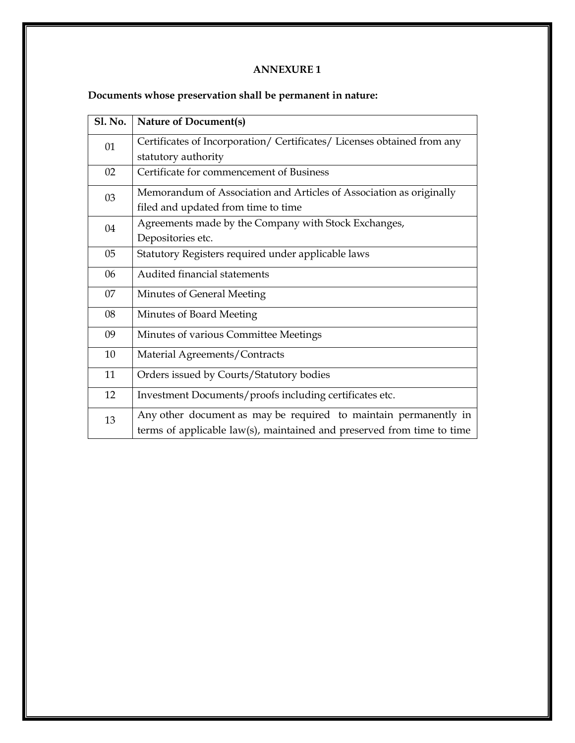## **ANNEXURE 1**

# **Documents whose preservation shall be permanent in nature:**

| <b>Sl. No.</b> | <b>Nature of Document(s)</b>                                                                                                               |
|----------------|--------------------------------------------------------------------------------------------------------------------------------------------|
| 01             | Certificates of Incorporation/ Certificates/ Licenses obtained from any                                                                    |
|                | statutory authority                                                                                                                        |
| 02             | Certificate for commencement of Business                                                                                                   |
| 03             | Memorandum of Association and Articles of Association as originally                                                                        |
|                | filed and updated from time to time                                                                                                        |
| 04             | Agreements made by the Company with Stock Exchanges,                                                                                       |
|                | Depositories etc.                                                                                                                          |
| 05             | Statutory Registers required under applicable laws                                                                                         |
| 06             | Audited financial statements                                                                                                               |
| 07             | Minutes of General Meeting                                                                                                                 |
| 08             | Minutes of Board Meeting                                                                                                                   |
| 09             | Minutes of various Committee Meetings                                                                                                      |
| 10             | Material Agreements/Contracts                                                                                                              |
| 11             | Orders issued by Courts/Statutory bodies                                                                                                   |
| 12             | Investment Documents/proofs including certificates etc.                                                                                    |
| 13             | Any other document as may be required to maintain permanently in<br>terms of applicable law(s), maintained and preserved from time to time |